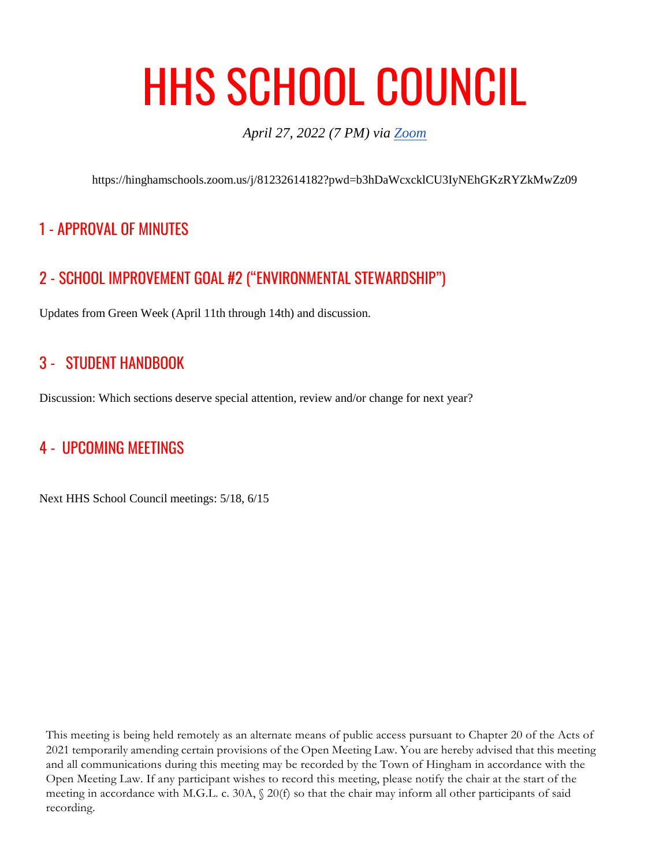# HHS SCHOOL COUNCIL

*April 27, 2022 (7 PM) via [Zoom](https://hinghamschools.zoom.us/j/81232614182?pwd=b3hDaWcxcklCU3IyNEhGKzRYZkMwZz09)*

https://hinghamschools.zoom.us/j/81232614182?pwd=b3hDaWcxcklCU3IyNEhGKzRYZkMwZz09

# 1 - APPROVAL OF MINUTES

# 2 - SCHOOL IMPROVEMENT GOAL #2 ("ENVIRONMENTAL STEWARDSHIP")

Updates from Green Week (April 11th through 14th) and discussion.

### 3 - STUDENT HANDBOOK

Discussion: Which sections deserve special attention, review and/or change for next year?

## 4 - UPCOMING MEETINGS

Next HHS School Council meetings: 5/18, 6/15

This meeting is being held remotely as an alternate means of public access pursuant to Chapter 20 of the Acts of 2021 temporarily amending certain provisions of the Open Meeting Law. You are hereby advised that this meeting and all communications during this meeting may be recorded by the Town of Hingham in accordance with the Open Meeting Law. If any participant wishes to record this meeting, please notify the chair at the start of the meeting in accordance with M.G.L. c. 30A, § 20(f) so that the chair may inform all other participants of said recording.